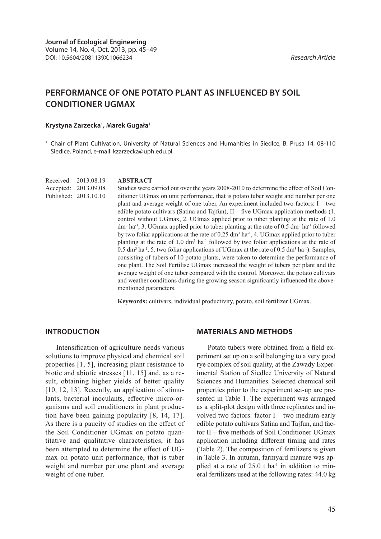# **PERFORMANCE OF ONE POTATO PLANT AS INFLUENCED BY SOIL CONDITIONER UGMAX**

#### **Krystyna Zarzecka1 , Marek Gugała1**

<sup>1</sup> Chair of Plant Cultivation, University of Natural Sciences and Humanities in Siedlce, B. Prusa 14, 08-110 Siedlce, Poland, e-mail: kzarzecka@uph.edu.pl

Received: 2013.08.19 Accepted: 2013.09.08 Published: 2013.10.10

#### **ABSTRACT**

Studies were carried out over the years 2008-2010 to determine the effect of Soil Conditioner UGmax on unit performance, that is potato tuber weight and number per one plant and average weight of one tuber. An experiment included two factors: I – two edible potato cultivars (Satina and Tajfun), II – five UGmax application methods (1. control without UGmax, 2. UGmax applied prior to tuber planting at the rate of 1.0  $dm<sup>3</sup>$  ha<sup>-1</sup>, 3. UGmax applied prior to tuber planting at the rate of 0.5 dm<sup>3</sup> ha<sup>-1</sup> followed by two foliar applications at the rate of  $0.25 \text{ dm}^3$  ha<sup>-1</sup>, 4. UGmax applied prior to tuber planting at the rate of  $1,0$  dm<sup>3</sup> ha<sup>-1</sup> followed by two foliar applications at the rate of  $0.5$  dm<sup>3</sup> ha<sup>-1</sup>, 5. two foliar applications of UGmax at the rate of 0.5 dm<sup>3</sup> ha<sup>-1</sup>). Samples, consisting of tubers of 10 potato plants, were taken to determine the performance of one plant. The Soil Fertilise UGmax increased the weight of tubers per plant and the average weight of one tuber compared with the control. Moreover, the potato cultivars and weather conditions during the growing season significantly influenced the abovementioned parameters.

**Keywords:** cultivars, individual productivity, potato, soil fertilizer UGmax.

### **INTRODUCTION**

Intensification of agriculture needs various solutions to improve physical and chemical soil properties [1, 5], increasing plant resistance to biotic and abiotic stresses [11, 15] and, as a result, obtaining higher yields of better quality [10, 12, 13]. Recently, an application of stimulants, bacterial inoculants, effective micro-organisms and soil conditioners in plant production have been gaining popularity [8, 14, 17]. As there is a paucity of studies on the effect of the Soil Conditioner UGmax on potato quantitative and qualitative characteristics, it has been attempted to determine the effect of UGmax on potato unit performance, that is tuber weight and number per one plant and average weight of one tuber.

#### **MATERIALS AND METHODS**

Potato tubers were obtained from a field experiment set up on a soil belonging to a very good rye complex of soil quality, at the Zawady Experimental Station of Siedlce University of Natural Sciences and Humanities. Selected chemical soil properties prior to the experiment set-up are presented in Table 1. The experiment was arranged as a split-plot design with three replicates and involved two factors: factor I – two medium-early edible potato cultivars Satina and Tajfun, and factor II – five methods of Soil Conditioner UGmax application including different timing and rates (Table 2). The composition of fertilizers is given in Table 3. In autumn, farmyard manure was applied at a rate of  $25.0$  t ha<sup>-1</sup> in addition to mineral fertilizers used at the following rates: 44.0 kg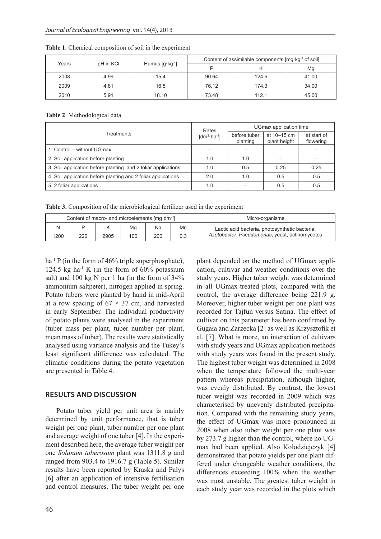|       |                                                            |       |       | Content of assimilable components [mg·kg <sup>-1</sup> of soil] |       |
|-------|------------------------------------------------------------|-------|-------|-----------------------------------------------------------------|-------|
| Years | pH in KCI<br>Humus $\left[ q \cdot \text{kg}^{-1} \right]$ |       |       |                                                                 | Mg    |
| 2008  | 4.99                                                       | 15.4  | 90.64 | 124.5                                                           | 41.00 |
| 2009  | 4.81                                                       | 16.8  | 76.12 | 174.3                                                           | 34.00 |
| 2010  | 5.91                                                       | 18.10 | 73.48 | 112.1                                                           | 45.00 |

**Table 1.** Chemical composition of soil in the experiment

**Table 2**. Methodological data

|                                                               | Rates                              | UGmax application time   |                             |                          |  |
|---------------------------------------------------------------|------------------------------------|--------------------------|-----------------------------|--------------------------|--|
| Treatments                                                    | $\lceil dm^3 \cdot ha^{-1} \rceil$ | before tuber<br>planting | at 10–15 cm<br>plant height | at start of<br>flowering |  |
| 1. Control – without UGmax                                    |                                    |                          |                             |                          |  |
| 2. Soil application before planting                           | 1.0                                | 1.0                      |                             |                          |  |
| 3. Soil application before planting and 2 foliar applications | 1.0                                | 0.5                      | 0.25                        | 0.25                     |  |
| 4. Soil application before planting and 2 foliar applications | 2.0                                | 1.0                      | 0.5                         | 0.5                      |  |
| 5. 2 foliar applications                                      | 1.0                                |                          | 0.5                         | 0.5                      |  |

**Table 3.** Composition of the microbiological fertilizer used in the experiment

| Content of macro- and microelements [mg·dm <sup>-3</sup> ] |     |      |     |     |     | Micro-organisms                                |
|------------------------------------------------------------|-----|------|-----|-----|-----|------------------------------------------------|
|                                                            |     |      | Mg  | Na  | Mn  | Lactic acid bacteria, photosynthetic bacteria, |
| 1200                                                       | 220 | 2905 | 100 | 200 | 0.3 | Azotobacter, Pseudomonas, yeast, actinomycetes |

ha<sup>-1</sup> P (in the form of 46% triple superphosphate), 124.5 kg ha<sup>-1</sup> K (in the form of  $60\%$  potassium salt) and 100 kg N per 1 ha (in the form of 34% ammonium saltpeter), nitrogen applied in spring. Potato tubers were planted by hand in mid-April at a row spacing of  $67 \times 37$  cm, and harvested in early September. The individual productivity of potato plants were analysed in the experiment (tuber mass per plant, tuber number per plant, mean mass of tuber). The results were statistically analysed using variance analysis and the Tukey's least significant difference was calculated. The climatic conditions during the potato vegetation are presented in Table 4.

## **RESULTS AND DISCUSSION**

Potato tuber yield per unit area is mainly determined by unit performance, that is tuber weight per one plant, tuber number per one plant and average weight of one tuber [4]. In the experiment described here, the average tuber weight per one *Solanum tuberosum* plant was 1311.8 g and ranged from 903.4 to 1916.7 g (Table 5). Similar results have been reported by Kraska and Pałys [6] after an application of intensive fertilisation and control measures. The tuber weight per one

cation, cultivar and weather conditions over the study years. Higher tuber weight was determined in all UGmax-treated plots, compared with the control, the average difference being 221.9 g. Moreover, higher tuber weight per one plant was recorded for Tajfun versus Satina. The effect of cultivar on this parameter has been confirmed by Gugała and Zarzecka [2] as well as Krzysztofik et al. [7]. What is more, an interaction of cultivars with study years and UGmax application methods with study years was found in the present study. The highest tuber weight was determined in 2008 when the temperature followed the multi-year pattern whereas precipitation, although higher, was evenly distributed. By contrast, the lowest tuber weight was recorded in 2009 which was characterised by unevenly distributed precipitation. Compared with the remaining study years, the effect of UGmax was more pronounced in 2008 when also tuber weight per one plant was by 273.7 g higher than the control, where no UGmax had been applied. Also Kołodziejczyk [4] demonstrated that potato yields per one plant differed under changeable weather conditions, the differences exceeding 100% when the weather was most unstable. The greatest tuber weight in each study year was recorded in the plots which

plant depended on the method of UGmax appli-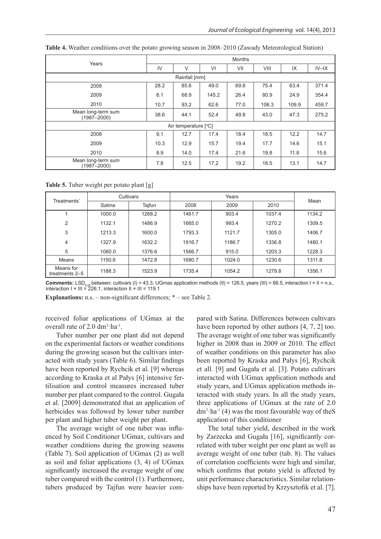| Years                                 | <b>Months</b> |               |       |      |       |       |          |  |  |
|---------------------------------------|---------------|---------------|-------|------|-------|-------|----------|--|--|
|                                       | IV            | $\vee$        | VI    | VII  | VIII  | IX    | $IV$ -IX |  |  |
|                                       |               | Rainfall [mm] |       |      |       |       |          |  |  |
| 2008                                  | 28.2          | 85.6          | 49.0  | 69.8 | 75.4  | 63.4  | 371.4    |  |  |
| 2009                                  | 8.1           | 68.9          | 145.2 | 26.4 | 80.9  | 24.9  | 354.4    |  |  |
| 2010                                  | 10.7          | 93.2          | 62.6  | 77.0 | 106.3 | 109.9 | 459.7    |  |  |
| Mean long-term sum<br>$(1987 - 2000)$ | 38.6          | 44.1          | 52.4  | 49.8 | 43.0  | 47.3  | 275.2    |  |  |
| Air temperature [°C]                  |               |               |       |      |       |       |          |  |  |
| 2008                                  | 9.1           | 12.7          | 17.4  | 18.4 | 18.5  | 12.2  | 14.7     |  |  |
| 2009                                  | 10.3          | 12.9          | 15.7  | 19.4 | 17.7  | 14.6  | 15.1     |  |  |
| 2010                                  | 8.9           | 14.0          | 17.4  | 21.6 | 19.8  | 11.8  | 15.6     |  |  |
| Mean long-term sum<br>(1987-2000)     | 7.8           | 12.5          | 17.2  | 19.2 | 18.5  | 13.1  | 14.7     |  |  |

**Table 4.** Weather conditions over the potato growing season in 2008–2010 (Zawady Meteorological Station)

**Table 5.** Tuber weight per potato plant [g]

| Treatments'                 | Cultivars |        |        | Mean   |        |        |
|-----------------------------|-----------|--------|--------|--------|--------|--------|
|                             | Satina    | Tajfun | 2008   | 2009   | 2010   |        |
|                             | 1000.0    | 1268.2 | 1461.7 | 903.4  | 1037.4 | 1134.2 |
| 2                           | 1132.1    | 1486.9 | 1665.0 | 993.4  | 1270.2 | 1309.5 |
| 3                           | 1213.3    | 1600.0 | 1793.3 | 1121.7 | 1305.0 | 1406.7 |
| 4                           | 1327.9    | 1632.2 | 1916.7 | 1186.7 | 1336.8 | 1480.1 |
| 5                           | 1080.0    | 1376.6 | 1566.7 | 915.0  | 1203.3 | 1228.3 |
| Means                       | 1150.6    | 1472.8 | 1680.7 | 1024.0 | 1230.6 | 1311.8 |
| Means for<br>treatments 2-5 | 1188.3    | 1523.9 | 1735.4 | 1054.2 | 1278.8 | 1356.1 |

**Comments:** LSD<sub>0.05</sub> between: cultivars (I) = 43.3, UGmax application methods (II) = 126.5, years (III) = 66.5, interaction I × II = n.s.,<br>interaction I × III = 226.1, interaction II × III = 119.1

**Explanations:** n.s. – non-significant differences; \* – see Table 2.

received foliar applications of UGmax at the overall rate of  $2.0 \text{ dm}^3 \cdot \text{ha}^{-1}$ .

Tuber number per one plant did not depend on the experimental factors or weather conditions during the growing season but the cultivars interacted with study years (Table 6). Similar findings have been reported by Rychcik et al. [9] whereas according to Kraska et al Pałys [6] intensive fertilisation and control measures increased tuber number per plant compared to the control. Gugała et al. [2009] demonstrated that an application of herbicides was followed by lower tuber number per plant and higher tuber weight per plant.

The average weight of one tuber was influenced by Soil Conditioner UGmax, cultivars and weather conditions during the growing seasons (Table 7). Soil application of UGmax (2) as well as soil and foliar applications (3, 4) of UGmax significantly increased the average weight of one tuber compared with the control (1). Furthermore, tubers produced by Tajfun were heavier compared with Satina. Differences between cultivars have been reported by other authors [4, 7, 2] too. The average weight of one tuber was significantly higher in 2008 than in 2009 or 2010. The effect of weather conditions on this parameter has also been reported by Kraska and Pałys [6], Rychcik et all. [9] and Gugała et al. [3]. Potato cultivars interacted with UGmax application methods and study years, and UGmax application methods interacted with study years. In all the study years, three applications of UGmax at the rate of 2.0  $dm<sup>3</sup>·ha<sup>-1</sup>$  (4) was the most favourable way of the S application of this conditioner

The total tuber yield, described in the work by Zarzecka and Gugała [16], significantly correlated with tuber weight per one plant as well as average weight of one tuber (tab. 8). The values of correlation coefficients were high and similar, which confirms that potato yield is affected by unit performance characteristics. Similar relationships have been reported by Krzysztofik et al. [7].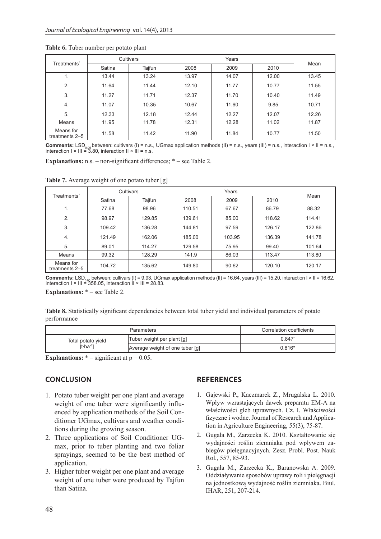|                             | Cultivars |        |       |       |       |       |
|-----------------------------|-----------|--------|-------|-------|-------|-------|
| Treatments <sup>*</sup>     | Satina    | Tajfun | 2008  | 2009  | 2010  | Mean  |
| 1.                          | 13.44     | 13.24  | 13.97 | 14.07 | 12.00 | 13.45 |
| 2.                          | 11.64     | 11.44  | 12.10 | 11.77 | 10.77 | 11.55 |
| 3.                          | 11.27     | 11.71  | 12.37 | 11.70 | 10.40 | 11.49 |
| 4.                          | 11.07     | 10.35  | 10.67 | 11.60 | 9.85  | 10.71 |
| 5.                          | 12.33     | 12.18  | 12.44 | 12.27 | 12.07 | 12.26 |
| Means                       | 11.95     | 11.78  | 12.31 | 12.28 | 11.02 | 11.87 |
| Means for<br>treatments 2-5 | 11.58     | 11.42  | 11.90 | 11.84 | 10.77 | 11.50 |

**Table 6.** Tuber number per potato plant

**Comments:** LSD<sub>0.05</sub> between: cultivars (I) = n.s., UGmax application methods (II) = n.s., years (III) = n.s., interaction I × II = n.s.,<br>interaction I × III = 3.80, interaction II × III = n.s.

**Explanations:** n.s. – non-significant differences; \* – see Table 2.

| Treatments'                 |        | Cultivars |        | Mean   |        |        |
|-----------------------------|--------|-----------|--------|--------|--------|--------|
|                             | Satina | Tajfun    | 2008   | 2009   | 2010   |        |
|                             | 77.68  | 98.96     | 110.51 | 67.67  | 86.79  | 88.32  |
| 2.                          | 98.97  | 129.85    | 139.61 | 85.00  | 118.62 | 114.41 |
| 3.                          | 109.42 | 136.28    | 144.81 | 97.59  | 126.17 | 122.86 |
| 4.                          | 121.49 | 162.06    | 185.00 | 103.95 | 136.39 | 141.78 |
| 5.                          | 89.01  | 114.27    | 129.58 | 75.95  | 99.40  | 101.64 |
| Means                       | 99.32  | 128.29    | 141.9  | 86.03  | 113.47 | 113.80 |
| Means for<br>treatments 2-5 | 104.72 | 135.62    | 149.80 | 90.62  | 120.10 | 120.17 |

**Table 7.** Average weight of one potato tuber [g]

**Comments:** LSD<sub>0.05</sub> between: cultivars (I) = 9.93, UGmax application methods (II) = 16.64, years (III) = 15.20, interaction I × II = 16.62,<br>interaction I × III = 358.05, interaction II × III = 28.83.

**Explanations:** \* – see Table 2.

|             |  | Table 8. Statistically significant dependencies between total tuber yield and individual parameters of potato |  |  |  |  |
|-------------|--|---------------------------------------------------------------------------------------------------------------|--|--|--|--|
| performance |  |                                                                                                               |  |  |  |  |

|                                  | Correlation coefficients        |                 |
|----------------------------------|---------------------------------|-----------------|
| Total potato yield<br>$[ttha-1]$ | Tuber weight per plant [g]      | $0.847^{\circ}$ |
|                                  | Average weight of one tuber [g] | $0.816*$        |

**Explanations:**  $*$  – significant at  $p = 0.05$ .

## **CONCLUSION**

- 1. Potato tuber weight per one plant and average weight of one tuber were significantly influenced by application methods of the Soil Conditioner UGmax, cultivars and weather conditions during the growing season.
- 2. Three applications of Soil Conditioner UGmax, prior to tuber planting and two foliar sprayings, seemed to be the best method of application.
- 3. Higher tuber weight per one plant and average weight of one tuber were produced by Tajfun than Satina.

## **REFERENCES**

- 1. Gajewski P., Kaczmarek Z., Mrugalska L. 2010. Wpływ wzrastających dawek preparatu EM-A na właściwości gleb uprawnych. Cz. I. Właściwości fizyczne i wodne. Journal of Research and Application in Agriculture Engineering, 55(3), 75-87.
- 2. Gugała M., Zarzecka K. 2010. Kształtowanie się wydajności roślin ziemniaka pod wpływem zabiegów pielęgnacyjnych. Zesz. Probl. Post. Nauk Rol., 557, 85-93.
- 3. Gugała M., Zarzecka K., Baranowska A. 2009. Oddziaływanie sposobów uprawy roli i pielęgnacji na jednostkową wydajność roślin ziemniaka. Biul. IHAR, 251, 207-214.